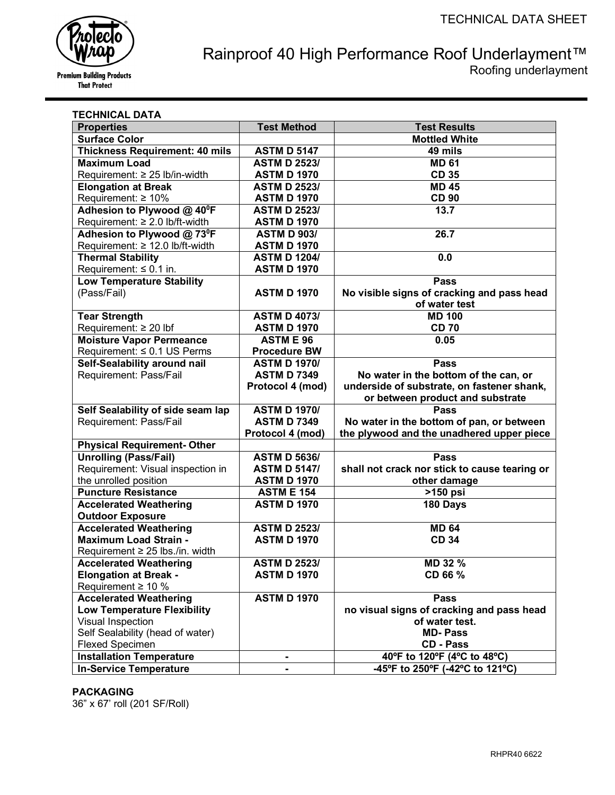

# Rainproof 40 High Performance Roof Underlayment™ Roofing underlayment

| TECHNICAL DATA                                                     |                     |                                               |
|--------------------------------------------------------------------|---------------------|-----------------------------------------------|
| <b>Properties</b>                                                  | <b>Test Method</b>  | <b>Test Results</b>                           |
| <b>Surface Color</b>                                               |                     | <b>Mottled White</b>                          |
| <b>Thickness Requirement: 40 mils</b>                              | <b>ASTM D 5147</b>  | 49 mils                                       |
| <b>Maximum Load</b>                                                | <b>ASTM D 2523/</b> | <b>MD 61</b>                                  |
| Requirement: ≥ 25 lb/in-width                                      | <b>ASTM D 1970</b>  | <b>CD 35</b>                                  |
| <b>Elongation at Break</b>                                         | <b>ASTM D 2523/</b> | <b>MD 45</b>                                  |
| Requirement: $\geq 10\%$                                           | <b>ASTM D 1970</b>  | <b>CD 90</b>                                  |
| Adhesion to Plywood @ 40°F                                         | <b>ASTM D 2523/</b> | 13.7                                          |
| Requirement: ≥ 2.0 lb/ft-width                                     | <b>ASTM D 1970</b>  |                                               |
| Adhesion to Plywood @ 73 <sup>0</sup> F                            | <b>ASTM D 903/</b>  | 26.7                                          |
| Requirement: ≥ 12.0 lb/ft-width                                    | <b>ASTM D 1970</b>  |                                               |
| <b>Thermal Stability</b>                                           | <b>ASTM D 1204/</b> | 0.0                                           |
| Requirement: $\leq 0.1$ in.                                        | <b>ASTM D 1970</b>  |                                               |
| <b>Low Temperature Stability</b>                                   |                     | <b>Pass</b>                                   |
| (Pass/Fail)                                                        | <b>ASTM D 1970</b>  | No visible signs of cracking and pass head    |
|                                                                    |                     | of water test                                 |
| <b>Tear Strength</b>                                               | <b>ASTM D 4073/</b> | <b>MD 100</b>                                 |
| Requirement: $\geq 20$ lbf                                         | <b>ASTM D 1970</b>  | <b>CD 70</b>                                  |
| <b>Moisture Vapor Permeance</b>                                    | <b>ASTM E 96</b>    | 0.05                                          |
| Requirement: ≤ 0.1 US Perms                                        | <b>Procedure BW</b> |                                               |
| Self-Sealability around nail                                       | <b>ASTM D 1970/</b> | <b>Pass</b>                                   |
| Requirement: Pass/Fail                                             | <b>ASTM D 7349</b>  | No water in the bottom of the can, or         |
|                                                                    | Protocol 4 (mod)    | underside of substrate, on fastener shank,    |
|                                                                    |                     | or between product and substrate              |
| Self Sealability of side seam lap                                  | <b>ASTM D 1970/</b> | <b>Pass</b>                                   |
| Requirement: Pass/Fail                                             | <b>ASTM D 7349</b>  | No water in the bottom of pan, or between     |
|                                                                    | Protocol 4 (mod)    | the plywood and the unadhered upper piece     |
| <b>Physical Requirement- Other</b><br><b>Unrolling (Pass/Fail)</b> | <b>ASTM D 5636/</b> | <b>Pass</b>                                   |
| Requirement: Visual inspection in                                  | <b>ASTM D 5147/</b> | shall not crack nor stick to cause tearing or |
| the unrolled position                                              | <b>ASTM D 1970</b>  | other damage                                  |
| <b>Puncture Resistance</b>                                         | <b>ASTM E 154</b>   |                                               |
| <b>Accelerated Weathering</b>                                      | <b>ASTM D 1970</b>  | >150 psi<br>180 Days                          |
| <b>Outdoor Exposure</b>                                            |                     |                                               |
| <b>Accelerated Weathering</b>                                      | <b>ASTM D 2523/</b> | <b>MD 64</b>                                  |
| <b>Maximum Load Strain -</b>                                       | <b>ASTM D 1970</b>  | <b>CD 34</b>                                  |
| Requirement ≥ 25 lbs./in. width                                    |                     |                                               |
| <b>Accelerated Weathering</b>                                      | <b>ASTM D 2523/</b> | MD 32 %                                       |
| <b>Elongation at Break -</b>                                       | <b>ASTM D 1970</b>  | CD 66 %                                       |
| Requirement $\geq 10$ %                                            |                     |                                               |
| <b>Accelerated Weathering</b>                                      | <b>ASTM D 1970</b>  | <b>Pass</b>                                   |
| <b>Low Temperature Flexibility</b>                                 |                     | no visual signs of cracking and pass head     |
| Visual Inspection                                                  |                     | of water test.                                |
| Self Sealability (head of water)                                   |                     | <b>MD-Pass</b>                                |
| <b>Flexed Specimen</b>                                             |                     | <b>CD - Pass</b>                              |
| <b>Installation Temperature</b>                                    | ٠                   | 40°F to 120°F (4°C to 48°C)                   |
| <b>In-Service Temperature</b>                                      |                     | -45°F to 250°F (-42°C to 121°C)               |

# **PACKAGING**

36" x 67' roll (201 SF/Roll)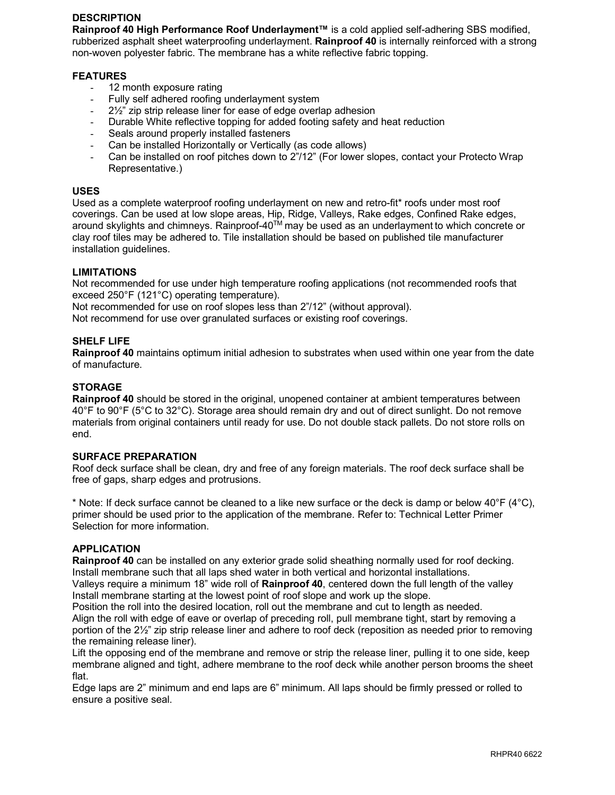# **DESCRIPTION**

**Rainproof 40 High Performance Roof Underlayment™** is a cold applied self-adhering SBS modified, rubberized asphalt sheet waterproofing underlayment. **Rainproof 40** is internally reinforced with a strong non-woven polyester fabric. The membrane has a white reflective fabric topping.

#### **FEATURES**

- 12 month exposure rating
- Fully self adhered roofing underlayment system
- $2\frac{1}{2}$ " zip strip release liner for ease of edge overlap adhesion
- Durable White reflective topping for added footing safety and heat reduction
- Seals around properly installed fasteners
- Can be installed Horizontally or Vertically (as code allows)
- Can be installed on roof pitches down to 2"/12" (For lower slopes, contact your Protecto Wrap Representative.)

#### **USES**

Used as a complete waterproof roofing underlayment on new and retro-fit\* roofs under most roof coverings. Can be used at low slope areas, Hip, Ridge, Valleys, Rake edges, Confined Rake edges, around skylights and chimneys. Rainproof-40<sup>TM</sup> may be used as an underlayment to which concrete or clay roof tiles may be adhered to. Tile installation should be based on published tile manufacturer installation guidelines.

#### **LIMITATIONS**

Not recommended for use under high temperature roofing applications (not recommended roofs that exceed 250°F (121°C) operating temperature).

Not recommended for use on roof slopes less than 2"/12" (without approval).

Not recommend for use over granulated surfaces or existing roof coverings.

#### **SHELF LIFE**

**Rainproof 40** maintains optimum initial adhesion to substrates when used within one year from the date of manufacture.

#### **STORAGE**

**Rainproof 40** should be stored in the original, unopened container at ambient temperatures between 40°F to 90°F (5°C to 32°C). Storage area should remain dry and out of direct sunlight. Do not remove materials from original containers until ready for use. Do not double stack pallets. Do not store rolls on end.

#### **SURFACE PREPARATION**

Roof deck surface shall be clean, dry and free of any foreign materials. The roof deck surface shall be free of gaps, sharp edges and protrusions.

\* Note: If deck surface cannot be cleaned to a like new surface or the deck is damp or below  $40^{\circ}F (4^{\circ}C)$ , primer should be used prior to the application of the membrane. Refer to: Technical Letter Primer Selection for more information.

## **APPLICATION**

**Rainproof 40** can be installed on any exterior grade solid sheathing normally used for roof decking. Install membrane such that all laps shed water in both vertical and horizontal installations.

Valleys require a minimum 18" wide roll of **Rainproof 40**, centered down the full length of the valley Install membrane starting at the lowest point of roof slope and work up the slope.

Position the roll into the desired location, roll out the membrane and cut to length as needed. Align the roll with edge of eave or overlap of preceding roll, pull membrane tight, start by removing a portion of the 2½" zip strip release liner and adhere to roof deck (reposition as needed prior to removing the remaining release liner).

Lift the opposing end of the membrane and remove or strip the release liner, pulling it to one side, keep membrane aligned and tight, adhere membrane to the roof deck while another person brooms the sheet flat.

Edge laps are 2" minimum and end laps are 6" minimum. All laps should be firmly pressed or rolled to ensure a positive seal.